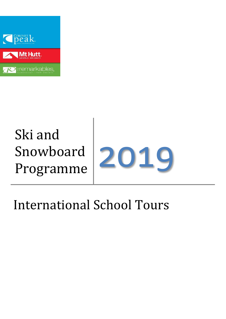

# Ski and Snowboard



# International School Tours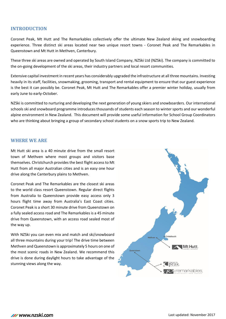### **INTRODUCTION**

Coronet Peak, Mt Hutt and The Remarkables collectively offer the ultimate New Zealand skiing and snowboarding experience. Three distinct ski areas located near two unique resort towns - Coronet Peak and The Remarkables in Queenstown and Mt Hutt in Methven, Canterbury.

These three ski areas are owned and operated by South Island Company, NZSki Ltd (NZSki). The company is committed to the on-going development of the ski areas, their industry partners and local resort communities.

Extensive capital investment in recent years has considerably upgraded the infrastructure at all three mountains. Investing heavily in its staff, facilities, snowmaking, grooming, transport and rental equipment to ensure that our guest experience is the best it can possibly be. Coronet Peak, Mt Hutt and The Remarkables offer a premier winter holiday, usually from early June to early-October.

NZSki is committed to nurturing and developing the next generation of young skiers and snowboarders. Our international schools ski and snowboard programme introduces thousands of students each season to winter sports and our wonderful alpine environment in New Zealand. This document will provide some useful information for School Group Coordinators who are thinking about bringing a group of secondary school students on a snow sports trip to New Zealand.

#### **WHERE WE ARE**

Mt Hutt ski area is a 40 minute drive from the small resort town of Methven where most groups and visitors base themselves. Christchurch provides the best flight accessto Mt Hutt from all major Australian cities and is an easy one hour drive along the Canterbury plains to Methven.

Coronet Peak and The Remarkables are the closest ski areas to the world class resort Queenstown. Regular direct flights from Australia to Queenstown provide easy access only 3 hours flight time away from Australia's East Coast cities. Coronet Peak is a short 30 minute drive from Queenstown on a fully sealed access road and The Remarkables is a 45 minute drive from Queenstown, with an access road sealed most of the way up.

With NZSki you can even mix and match and ski/snowboard all three mountains during your trip! The drive time between Methven and Queenstown is approximately 5 hours on one of the most scenic roads in New Zealand. We recommend this drive is done during daylight hours to take advantage of the stunning views along the way.

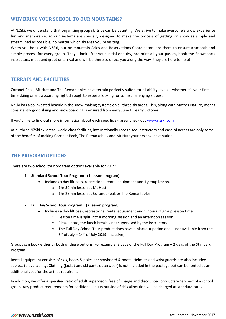# **WHY BRING YOUR SCHOOL TO OUR MOUNTAINS?**

At NZSki, we understand that organising group ski trips can be daunting. We strive to make everyone's snow experience fun and memorable, so our systems are specially designed to make the process of getting on snow as simple and streamlined as possible, no matter which ski area you're visiting.

When you book with NZSki, our on-mountain Sales and Reservations Coordinators are there to ensure a smooth and simple process for every group. They'll look after your initial enquiry, pre-print all your passes, book the Snowsports instructors, meet and greet on arrival and will be there to direct you along the way -they are here to help!

# **TERRAIN AND FACILITIES**

Coronet Peak, Mt Hutt and The Remarkables have terrain perfectly suited for all ability levels – whether it's your first time skiing or snowboarding right through to experts looking for some challenging slopes.

NZSki has also invested heavily in the snow-making systems on all three ski areas. This, along with Mother Nature, means consistently good skiing and snowboarding is ensured from early June till early October.

If you'd like to find out more information about each specific ski area, check out [www.nzski.com](http://www.nzski.com/)

At all three NZSki ski areas, world class facilities, internationally recognised instructors and ease of access are only some of the benefits of making Coronet Peak, The Remarkables and Mt Hutt your next ski destination.

# **THE PROGRAM OPTIONS**

There are two school tour program options available for 2019:

#### 1. **Standard School Tour Program (1 lesson program)**

- Includes a day lift pass, recreational rental equipment and 1 group lesson.
	- o 1hr 50min lesson at Mt Hutt
	- o 1hr 25min lesson at Coronet Peak or The Remarkables

#### 2. **Full Day School Tour Program (2 lesson program)**

- Includes a day lift pass, recreational rental equipment and 5 hours of group lesson time
	- o Lesson time is split into a morning session and an afternoon session.
	- o Please note, the lunch break is not supervised by the instructors.
	- o The Full Day School Tour product does have a blackout period and is not available from the  $8<sup>th</sup>$  of July – 14<sup>th</sup> of July 2019 (inclusive).

Groups can book either or both of these options. For example, 3 days of the Full Day Program + 2 days of the Standard Program.

Rental equipment consists of skis, boots & poles or snowboard & boots. Helmets and wrist guards are also included subject to availability. Clothing (jacket and ski pants outerwear) is not included in the package but can be rented at an additional cost for those that require it.

In addition, we offer a specified ratio of adult supervisors free of charge and discounted products when part of a school group. Any product requirements for additional adults outside of this allocation will be charged at standard rates.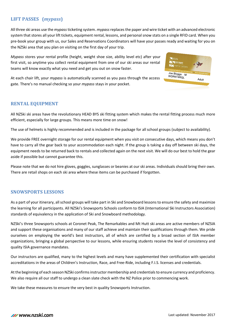# **LIFT PASSES (***mypass***)**

All three ski areas use the *mypass*ticketing system. *mypass* replaces the paper and wire ticket with an advanced electronic system that stores all your lift tickets, equipment rental, lessons, and personal snow stats on a single RFID card. When you pre-book your group with us, our Sales and Reservations Coordinators will have your passes ready and waiting for you on the NZSki area that you plan on visiting on the first day of your trip.

*Mypass* stores your rental profile (height, weight shoe size, ability level etc) after your first visit, so anytime you collect rental equipment from one of our ski areas our rental teams will know exactly what you need and get you out on snow faster.



At each chair lift, your *mypass* is automatically scanned as you pass through the access gate. There's no manual checking so your *mypass* stays in your pocket.

# **RENTAL EQUIPMENT**

All NZSki ski areas have the revolutionary HEAD BYS ski fitting system which makes the rental fitting process much more efficient, especially for large groups. This means more time on snow!

The use of helmets is highly recommended and is included in the package for all school groups (subject to availability).

We provide FREE overnight storage for our rental equipment when you visit on consecutive days, which means you don't have to carry all the gear back to your accommodation each night. If the group is taking a day off between ski days, the equipment needs to be returned back to rentals and collected again on the next visit. We will do our best to hold the gear aside if possible but cannot guarantee this.

Please note that we do not hire gloves, goggles, sunglasses or beanies at our ski areas. Individuals should bring their own. There are retail shops on each ski area where these items can be purchased if forgotten.

# **SNOWSPORTS LESSONS**

As a part of your itinerary, all school groups will take part in Ski and Snowboard lessons to ensure the safety and maximize the learning for all participants. All NZSki's Snowsports Schools conform to ISIA (International Ski Instructors Association) standards of equivalency in the application of Ski and Snowboard methodology.

NZSki's three Snowsports schools at Coronet Peak, The Remarkables and Mt Hutt ski areas are active members of NZSIA and support these organisations and many of our staff achieve and maintain their qualifications through them. We pride ourselves on employing the world's best instructors, all of which are certified by a broad section of ISIA member organizations, bringing a global perspective to our lessons, while ensuring students receive the level of consistency and quality ISIA governance mandates.

Our instructors are qualified, many to the highest levels and many have supplemented their certification with specialist accreditations in the areas of Children's Instruction, Race, and Free-Ride, including F.I.S. licenses and credentials.

At the beginning of each season NZSki confirms instructor membership and credentials to ensure currency and proficiency. We also require all our staff to undergo a clean slate check with the NZ Police prior to commencing work.

We take these measures to ensure the very best in quality Snowsports Instruction.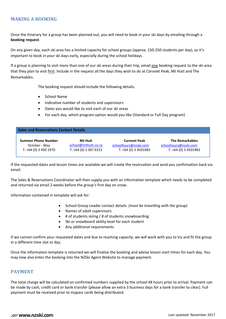# **MAKING A BOOKING**

Once the itinerary for a group has been planned out, you will need to book in your ski days by emailing through a **booking request**.

On any given day, each ski area has a limited capacity for school groups (approx. 150-250 students per day), so it's important to book in your ski days early, especially during the school holidays.

If a group is planning to visit more than one of our ski areas during their trip, email one booking request to the ski area that they plan to visit first. Include in the request all the days they wish to ski at Coronet Peak, Mt Hutt and The Remarkables.

The booking request should include the following details:

- School Name
- Indicative number of students and supervisors
- Dates you would like to visit each of our ski areas
- For each day, which program option would you like (Standard or Full Day program)

| <b>Sales and Reservations Contact Details</b> |                        |                       |                        |  |  |
|-----------------------------------------------|------------------------|-----------------------|------------------------|--|--|
| <b>Summer Phone Number</b>                    | Mt Hutt                | <b>Coronet Peak</b>   | <b>The Remarkables</b> |  |  |
| October - May                                 | school@mthutt.co.nz    | schooltours@nzski.com | schooltours@nzski.com  |  |  |
| $T: +64(0)$ 3 450 1970                        | $T: +64(0)$ 3 307 6315 | $T: +64(0)$ 3 4501983 | $T: +64(0)$ 3 4501983  |  |  |

If the requested dates and lesson times are available we will create the reservation and send you confirmation back via email.

The Sales & Reservations Coordinator will then supply you with an information template which needs to be completed and returned via email 2 weeks before the group's first day on snow.

Information contained in template will ask for:

- School Group Leader contact details *(must be travelling with the group)*
- Names of adult supervisors
- # of students skiing / # of students snowboarding
- Ski or snowboard ability level for each student
- Any additional requirements

If we cannot confirm your requested dates and due to reaching capacity; we will work with you to try and fit the group in a different time slot or day.

Once the information template is returned we will finalise the booking and advise lesson start times for each day. You may now also enter the booking into the NZSki Agent Website to manage payment.

# **PAYMENT**

The total charge will be calculated on confirmed numbers supplied by the school 48 hours prior to arrival. Payment can be made by cash, credit card or bank transfer (please allow an extra 3 business days for a bank transfer to clear). Full payment must be received prior to mypass cards being distributed.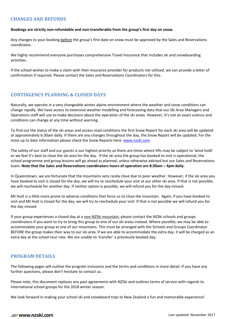# **CHANGES AND REFUNDS**

#### **Bookings are strictly non-refundable and non-transferable from the group's first day on snow.**

Any changes to your booking before the group's first date on snow must be approved by the Sales and Reservations coordinator.

We highly recommend everyone purchases comprehensive Travel Insurance that includes ski and snowboarding activities.

If the school wishes to make a claim with their insurance provider for products not utilised, we can provide a letter of confirmation if required. Please contact the Sales and Reservations Coordinators for this.

# **CONTINGENCY PLANNING & CLOSED DAYS**

Naturally, we operate in a very changeable winter alpine environment where the weather and snow conditions can change rapidly. We have access to extensive weather modelling and forecasting data that our Ski Area Managers and Operations staff will use to make decisions about the operation of the ski areas. However, it's not an exact science and conditions can change at any time without warning.

To find out the status of the ski areas and access road conditions the first Snow Report for each ski area will be updated at approximately 6:30am daily. If there are any changes throughout the day, the Snow Report will be updated. For the most up to date information please check the Snow Reports here: [www.nzski.com](http://www.nzski.com/)

The safety of our staff and our guests is our highest priority so there are times where lifts may be subject to 'wind hold' or we feel it's best to close the ski area for the day. If the ski area the group has booked to visit is operational, the school programme and group lessons will go ahead as planned, unless otherwise advised but our Sales and Reservations team. **Note that the Sales and Reservations coordinators hours of operation are 8:30am – 4pm daily.**

In Queenstown, we are fortunate that the mountains very rarely close due to poor weather. However, if the ski area you have booked to visit is closed for the day, we will try to reschedule your visit at our other ski area. If that is not possible, we will reschedule for another day. If neither option is possible, we will refund you for the day missed.

Mt Hutt is a little more prone to adverse conditions that force us to close the mountain. Again, if you have booked to visit and Mt Hutt is closed for the day, we will try to reschedule your visit. If that is not possible we will refund you for the day missed.

If your group experiences a closed day at a non-NZSki mountain, please contact the NZSki schools and groups coordinators if you want to try to bring this group to one of our ski areas instead. Where possible, we may be able to accommodate your group at one of our mountains. This must be arranged with the Schools and Groups Coordinator BEFORE the group makes their way to our ski area. If we are able to accommodate the extra day, it will be charged as an extra day at the school tour rate. We are unable to 'transfer' a previously booked day.

# **PROGRAM DETAILS**

The following pages will outline the program inclusions and the terms and conditions in more detail. If you have any further questions, please don't hesitate to contact us.

Please note, this document replaces any past agreements with NZSki and outlines terms of service with regards to international school groups for the 2018 winter season.

We look forward in making your school ski and snowboard trips to New Zealand a fun and memorable experience!

# **M** www.nzski.com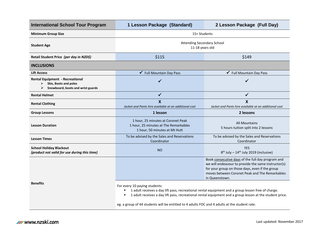| <b>International School Tour Program</b>                                                                       | 1 Lesson Package (Standard)                                                                                                                                                                                                                                                                                                                           | 2 Lesson Package (Full Day)                                                                                                                                                                                                     |  |
|----------------------------------------------------------------------------------------------------------------|-------------------------------------------------------------------------------------------------------------------------------------------------------------------------------------------------------------------------------------------------------------------------------------------------------------------------------------------------------|---------------------------------------------------------------------------------------------------------------------------------------------------------------------------------------------------------------------------------|--|
| <b>Minimum Group Size</b>                                                                                      | 15+ Students                                                                                                                                                                                                                                                                                                                                          |                                                                                                                                                                                                                                 |  |
| <b>Student Age</b>                                                                                             | <b>Attending Secondary School</b><br>11-18 years old                                                                                                                                                                                                                                                                                                  |                                                                                                                                                                                                                                 |  |
| Retail Student Price (per day in NZD\$)                                                                        | \$115                                                                                                                                                                                                                                                                                                                                                 | \$149                                                                                                                                                                                                                           |  |
| <b>INCLUSIONS</b>                                                                                              |                                                                                                                                                                                                                                                                                                                                                       |                                                                                                                                                                                                                                 |  |
| <b>Lift Access</b>                                                                                             | <b>Full Mountain Day Pass</b>                                                                                                                                                                                                                                                                                                                         | ✔ Full Mountain Day Pass                                                                                                                                                                                                        |  |
| <b>Rental Equipment - Recreational</b><br>Skis, Boots and poles<br>➤<br>➤<br>Snowboard, boots and wrist guards | $\checkmark$                                                                                                                                                                                                                                                                                                                                          | $\checkmark$                                                                                                                                                                                                                    |  |
| <b>Rental Helmet</b>                                                                                           | ✓                                                                                                                                                                                                                                                                                                                                                     | ✓                                                                                                                                                                                                                               |  |
| <b>Rental Clothing</b>                                                                                         | $\boldsymbol{\mathsf{X}}$<br>Jacket and Pants hire available at an additional cost                                                                                                                                                                                                                                                                    | X<br>Jacket and Pants hire available at an additional cost                                                                                                                                                                      |  |
| <b>Group Lessons</b>                                                                                           | 1 lesson                                                                                                                                                                                                                                                                                                                                              | 2 lessons                                                                                                                                                                                                                       |  |
| <b>Lesson Duration</b>                                                                                         | 1 hour, 25 minutes at Coronet Peak<br>1 hour, 25 minutes at The Remarkables<br>1 hour, 50 minutes at Mt Hutt                                                                                                                                                                                                                                          | <b>All Mountains</b><br>5 hours tuition split into 2 lessons                                                                                                                                                                    |  |
| <b>Lesson Times</b>                                                                                            | To be advised by the Sales and Reservations<br>Coordinator                                                                                                                                                                                                                                                                                            | To be advised by the Sales and Reservations<br>Coordinator                                                                                                                                                                      |  |
| <b>School Holiday Blackout</b><br>(product not valid for use during this time)                                 | <b>NO</b>                                                                                                                                                                                                                                                                                                                                             | <b>YES</b><br>8 <sup>th</sup> July - 14 <sup>th</sup> July 2019 (inclusive)                                                                                                                                                     |  |
|                                                                                                                |                                                                                                                                                                                                                                                                                                                                                       | Book consecutive days of the full day program and<br>we will endeavour to provide the same instructor(s)<br>for your group on those days, even if the group<br>moves between Coronet Peak and The Remarkables<br>in Queenstown. |  |
| <b>Benefits</b>                                                                                                | For every 10 paying students:<br>1 adult receives a day lift pass, recreational rental equipment and a group lesson free of charge.<br>٠<br>1 adult receives a day lift pass, recreational rental equipment and a group lesson at the student price.<br>eg. a group of 44 students will be entitled to 4 adults FOC and 4 adults at the student rate. |                                                                                                                                                                                                                                 |  |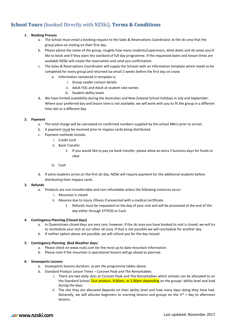# **School Tours** (booked Directly with NZSki), **Terms & Conditions**

#### **1. Booking Process**

- a. The School must email a booking request to the Sales & Reservations Coordinator at the ski area that the group plans on visiting on their first day.
- b. Please advise the name of the group, roughly how many students/supervisors, what dates and ski areas you'd like to book and if they want the standard of full day programme. If the requested dates and lesson times are available NZSki will create the reservation and send you confirmation.
- c. The Sales & Reservations Coordinator will supply the Schools with an information template which needs to be completed for every group and returned via email 2 weeks before the first day on snow.
	- a. Information contained in template is;
		- i. Group Leader contact details
		- ii. Adult FOC and Adult at student rate names
		- iii. Student ability levels
- d. We have limited availability during the Australian and New Zealand School holidays in July and September. Where your preferred day and lesson time is not available; we will work with you to fit the group in a different time slot or a different day.

#### **2. Payment**

- a. The total charge will be calculated on confirmed numbers supplied by the school 48hrs prior to arrival.
- b. A payment must be received prior to mypass cards being distributed.
- c. Payment methods include:
	- i. Credit Card
	- ii. Bank Transfer
		- 1. If you would like to pay via bank transfer, please allow an extra 3 business days for funds to clear
	- iii. Cash
- d. If extra students arrive on the first ski day, NZSki will require payment for the additional students before distributing their mypass cards.

#### **3. Refunds**

- a. Products are non-transferrable and non-refundable unless the following instances occur:
	- i. Mountain is closed
	- ii. Absence due to injury /illness if presented with a medical certificate.
		- 1. Refunds must be requested on the day of your visit and will be processed at the end of the day either through EFTPOS or Cash.

#### **4. Contingency Planning (Closed days)**

- a. In Queenstown closed days are very rare, however, if the ski area you have booked to visit is closed, we will try to reschedule your visit at our other ski area. If that is not possible we will reschedule for another day.
- b. If neither option above are possible, we will refund you for the day missed.

#### **5. Contingency Planning (Bad Weather days**)

- a. Please check on www.nzski.com for the most up to date mountain information
- b. Please note if the mountain is operational lessons will go ahead as planned.

#### **6. Snowsports Lessons**

- a. Snowsports lessons duration; as per the programme tables above.
- b. Standard Product Lesson Times Coronet Peak and The Remarkables
	- i. There are two daily slots at Coronet Peak and The Remarkables which schools can be allocated to on the Standard School Tour product. 9.00am, or 2.00pm depending on the groups' ability level and load during the days.
	- ii. The slot they are allocated depends on their ability level and how many days skiing they have had. Generally, we will allocate beginners to morning lessons and groups on the  $3^{rd}$  + day to afternoon lessons.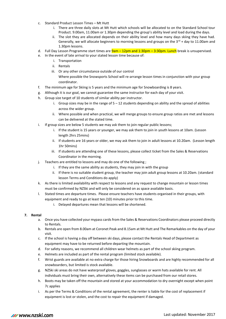- c. Standard Product Lesson Times Mt Hutt
	- i. There are three daily slots at Mt Hutt which schools will be allocated to on the Standard School tour Product. 9.00am, 11.00am or 1.30pm depending the group's ability level and load during the days.
	- ii. The slot they are allocated depends on their ability level and how many days skiing they have had. Generally, we will allocate beginners to morning lessons and groups on the  $3^{rd}$  + day to 11.00am and 1.30pm lessons.
- d. Full Day Lesson Programme start times are **9am 12pm and 1:30pm 3:30pm. Lunch** break is unsupervised.
- e. In the event of late arrival to your stated lesson time because of:
	- i. Transportation
	- ii. Rentals
	- iii. Or any other circumstance outside of our control
		- Where possible the Snowsports School will re-arrange lesson times in conjunction with your group coordinator.
- f. The minimum age for Skiing is 5 years and the minimum age for Snowboarding is 8 years.
- g. Although it is our goal, we cannot guarantee the same instructor for each day of your visit.
- h. Group size target of 10 students of similar ability per instructor.
	- i. Group sizes may be in the range of  $5 12$  students depending on ability and the spread of abilities across the wider group.
	- ii. Where possible and when practical, we will merge groups to ensure group ratios are met and lessons can be delivered at the stated time.
- i. If group sizes are below 5 students we may ask them to join regular public lessons;
	- i. If the student is 15 years or younger, we may ask them to join in youth lessons at 10am. (Lesson length 2hrs 25mins)
	- ii. If students are 16 years or older, we may ask them to join in adult lessons at 10.20am. (Lesson length 1hr 50mins)
	- iii. If students are attending one of these lessons, please collect ticket from the Sales & Reservations Coordinator in the morning.
- j. Teachers are entitled to lessons and may do one of the following ;
	- i. If they are the same ability as students, they may join in with the group
	- ii. If there is no suitable student group, the teacher may join adult group lessons at 10.20am. (standard lesson Terms and Conditions do apply)
- k. As there is limited availability with respect to lessons and any request to change mountain or lesson times must be confirmed by NZSki and will only be considered on as space available basis.
- l. Stated times are departure times. Please ensure teachers have students organised in their groups, with equipment and ready to go at least ten (10) minutes prior to this time.
	- i. Delayed departures mean that lessons will be shortened.

#### **7. Rental**

- a. Once you have collected your mypass cards from the Sales & Reservations Coordinators please proceed directly to Rentals.
- b. Rentals are open from 8.00am at Coronet Peak and 8.15am at Mt Hutt and The Remarkables on the day of your visit.
- c. If the school is having a day off between ski days, please contact the Rentals Head of Department as equipment may have to be returned before departing the mountain.
- d. For safety reasons, we recommend all children wear helmets as part of the school skiing program.
- e. Helmets are included as part of the rental program (limited stock available).
- f. Wrist guards are available at no extra charge for those hiring Snowboards and are highly recommended for all snowboarders, but limited is stock available.
- g. NZSki ski areas do not have waterproof gloves, goggles, sunglasses or warm hats available for rent. All individuals must bring their own, alternatively these items can be purchased from our retail stores.
- h. Boots may be taken off the mountain and stored at your accommodation to dry overnight except when point 7c applies
- i. As per the Terms & Conditions of the rental agreement, the renter is liable for the cost of replacement if equipment is lost or stolen, and the cost to repair the equipment if damaged.